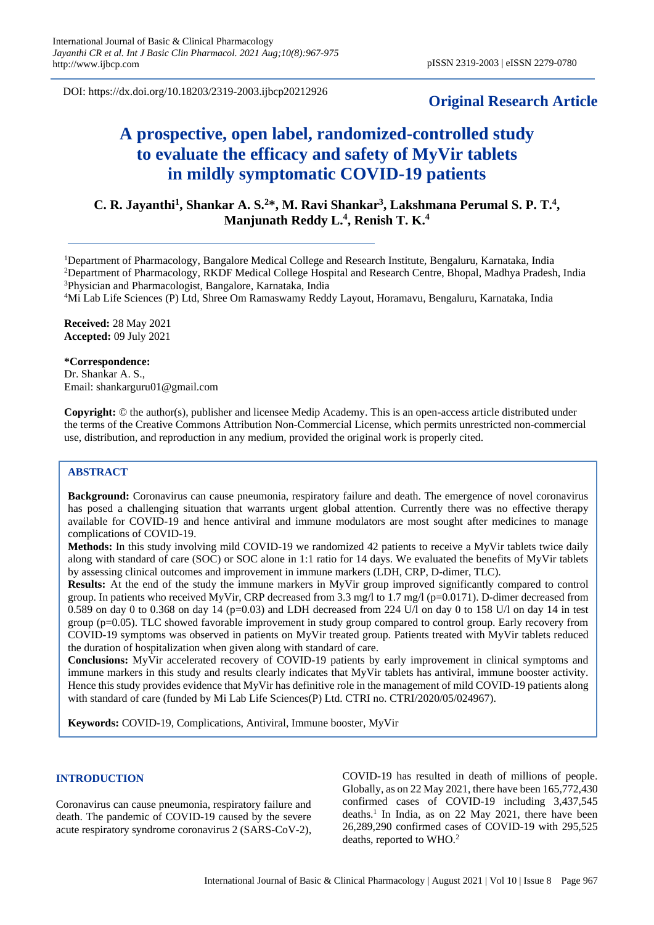DOI: https://dx.doi.org/10.18203/2319-2003.ijbcp20212926

# **Original Research Article**

# **A prospective, open label, randomized-controlled study to evaluate the efficacy and safety of MyVir tablets in mildly symptomatic COVID-19 patients**

# **C. R. Jayanthi<sup>1</sup> , Shankar A. S.<sup>2</sup>\*, M. Ravi Shankar<sup>3</sup> , Lakshmana Perumal S. P. T.<sup>4</sup> , Manjunath Reddy L.<sup>4</sup> , Renish T. K.<sup>4</sup>**

<sup>1</sup>Department of Pharmacology, Bangalore Medical College and Research Institute, Bengaluru, Karnataka, India <sup>2</sup>Department of Pharmacology, RKDF Medical College Hospital and Research Centre, Bhopal, Madhya Pradesh, India <sup>3</sup>Physician and Pharmacologist, Bangalore, Karnataka, India

<sup>4</sup>Mi Lab Life Sciences (P) Ltd, Shree Om Ramaswamy Reddy Layout, Horamavu, Bengaluru, Karnataka, India

**Received:** 28 May 2021 **Accepted:** 09 July 2021

#### **\*Correspondence:**

Dr. Shankar A. S., Email: shankarguru01@gmail.com

**Copyright:** © the author(s), publisher and licensee Medip Academy. This is an open-access article distributed under the terms of the Creative Commons Attribution Non-Commercial License, which permits unrestricted non-commercial use, distribution, and reproduction in any medium, provided the original work is properly cited.

#### **ABSTRACT**

**Background:** Coronavirus can cause pneumonia, respiratory failure and death. The emergence of novel coronavirus has posed a challenging situation that warrants urgent global attention. Currently there was no effective therapy available for COVID-19 and hence antiviral and immune modulators are most sought after medicines to manage complications of COVID-19.

**Methods:** In this study involving mild COVID-19 we randomized 42 patients to receive a MyVir tablets twice daily along with standard of care (SOC) or SOC alone in 1:1 ratio for 14 days. We evaluated the benefits of MyVir tablets by assessing clinical outcomes and improvement in immune markers (LDH, CRP, D-dimer, TLC).

**Results:** At the end of the study the immune markers in MyVir group improved significantly compared to control group. In patients who received MyVir, CRP decreased from 3.3 mg/l to 1.7 mg/l (p=0.0171). D-dimer decreased from 0.589 on day 0 to 0.368 on day 14 ( $p=0.03$ ) and LDH decreased from 224 U/l on day 0 to 158 U/l on day 14 in test group (p=0.05). TLC showed favorable improvement in study group compared to control group. Early recovery from COVID-19 symptoms was observed in patients on MyVir treated group. Patients treated with MyVir tablets reduced the duration of hospitalization when given along with standard of care.

**Conclusions:** MyVir accelerated recovery of COVID-19 patients by early improvement in clinical symptoms and immune markers in this study and results clearly indicates that MyVir tablets has antiviral, immune booster activity. Hence this study provides evidence that MyVir has definitive role in the management of mild COVID-19 patients along with standard of care (funded by Mi Lab Life Sciences(P) Ltd. CTRI no. CTRI/2020/05/024967).

**Keywords:** COVID-19, Complications, Antiviral, Immune booster, MyVir

# **INTRODUCTION**

Coronavirus can cause pneumonia, respiratory failure and death. The pandemic of COVID-19 caused by the severe acute respiratory syndrome coronavirus 2 (SARS-CoV-2), COVID-19 has resulted in death of millions of people. Globally, as on 22 May 2021, there have been 165,772,430 confirmed cases of COVID-19 including 3,437,545 deaths.<sup>1</sup> In India, as on 22 May 2021, there have been 26,289,290 confirmed cases of COVID-19 with 295,525 deaths, reported to WHO.<sup>2</sup>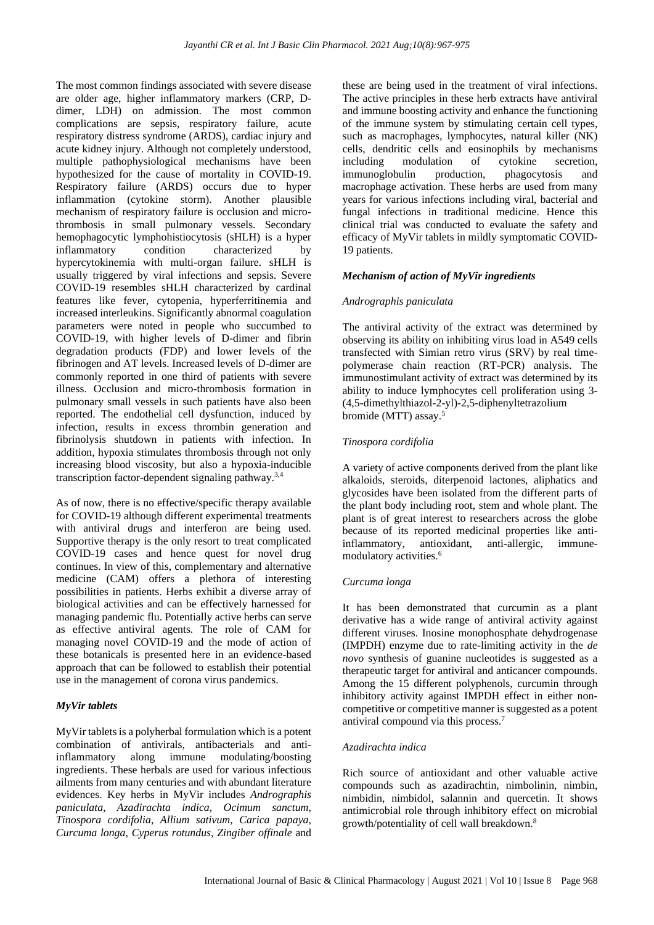The most common findings associated with severe disease are older age, higher inflammatory markers (CRP, Ddimer, LDH) on admission. The most common complications are sepsis, respiratory failure, acute respiratory distress syndrome (ARDS), cardiac injury and acute kidney injury. Although not completely understood, multiple pathophysiological mechanisms have been hypothesized for the cause of mortality in COVID-19. Respiratory failure (ARDS) occurs due to hyper inflammation (cytokine storm). Another plausible mechanism of respiratory failure is occlusion and microthrombosis in small pulmonary vessels. Secondary hemophagocytic lymphohistiocytosis (sHLH) is a hyper inflammatory condition characterized by hypercytokinemia with multi-organ failure. sHLH is usually triggered by viral infections and sepsis. Severe COVID-19 resembles sHLH characterized by cardinal features like fever, cytopenia, hyperferritinemia and increased interleukins. Significantly abnormal coagulation parameters were noted in people who succumbed to COVID-19, with higher levels of D-dimer and fibrin degradation products (FDP) and lower levels of the fibrinogen and AT levels. Increased levels of D-dimer are commonly reported in one third of patients with severe illness. Occlusion and micro-thrombosis formation in pulmonary small vessels in such patients have also been reported. The endothelial cell dysfunction, induced by infection, results in excess thrombin generation and fibrinolysis shutdown in patients with infection. In addition, hypoxia stimulates thrombosis through not only increasing blood viscosity, but also a hypoxia-inducible transcription factor-dependent signaling pathway.3,4

As of now, there is no effective/specific therapy available for COVID-19 although different experimental treatments with antiviral drugs and interferon are being used. Supportive therapy is the only resort to treat complicated COVID-19 cases and hence quest for novel drug continues. In view of this, complementary and alternative medicine (CAM) offers a plethora of interesting possibilities in patients. Herbs exhibit a diverse array of biological activities and can be effectively harnessed for managing pandemic flu. Potentially active herbs can serve as effective antiviral agents. The role of CAM for managing novel COVID-19 and the mode of action of these botanicals is presented here in an evidence-based approach that can be followed to establish their potential use in the management of corona virus pandemics.

#### *MyVir tablets*

MyVir tablets is a polyherbal formulation which is a potent combination of antivirals, antibacterials and antiinflammatory along immune modulating/boosting ingredients. These herbals are used for various infectious ailments from many centuries and with abundant literature evidences. Key herbs in MyVir includes *Andrographis paniculata*, *Azadirachta indica*, *Ocimum sanctum*, *Tinospora cordifolia*, *Allium sativum*, *Carica papaya*, *Curcuma longa*, *Cyperus rotundus*, *Zingiber offinale* and these are being used in the treatment of viral infections. The active principles in these herb extracts have antiviral and immune boosting activity and enhance the functioning of the immune system by stimulating certain cell types, such as macrophages, lymphocytes, natural killer (NK) cells, dendritic cells and eosinophils by mechanisms including modulation of cytokine secretion, immunoglobulin production, phagocytosis and macrophage activation. These herbs are used from many years for various infections including viral, bacterial and fungal infections in traditional medicine. Hence this clinical trial was conducted to evaluate the safety and efficacy of MyVir tablets in mildly symptomatic COVID-19 patients.

# *Mechanism of action of MyVir ingredients*

# *Andrographis paniculata*

The antiviral activity of the extract was determined by observing its ability on inhibiting virus load in A549 cells transfected with Simian retro virus (SRV) by real timepolymerase chain reaction (RT-PCR) analysis. The immunostimulant activity of extract was determined by its ability to induce lymphocytes cell proliferation using 3- (4,5-dimethylthiazol-2-yl)-2,5-diphenyltetrazolium bromide (MTT) assay.<sup>5</sup>

# *Tinospora cordifolia*

A variety of active components derived from the plant like alkaloids, steroids, diterpenoid lactones, aliphatics and glycosides have been isolated from the different parts of the plant body including root, stem and whole plant. The plant is of great interest to researchers across the globe because of its reported medicinal properties like antiinflammatory, antioxidant, anti-allergic, immunemodulatory activities.<sup>6</sup>

#### *Curcuma longa*

It has been demonstrated that curcumin as a plant derivative has a wide range of antiviral activity against different viruses. Inosine monophosphate dehydrogenase (IMPDH) enzyme due to rate-limiting activity in the *de novo* synthesis of guanine nucleotides is suggested as a therapeutic target for antiviral and anticancer compounds. Among the 15 different polyphenols, curcumin through inhibitory activity against IMPDH effect in either noncompetitive or competitive manner is suggested as a potent antiviral compound via this process.<sup>7</sup>

#### *Azadirachta indica*

Rich source of antioxidant and other valuable active compounds such as azadirachtin, nimbolinin, nimbin, nimbidin, nimbidol, salannin and quercetin. It shows antimicrobial role through inhibitory effect on microbial growth/potentiality of cell wall breakdown.8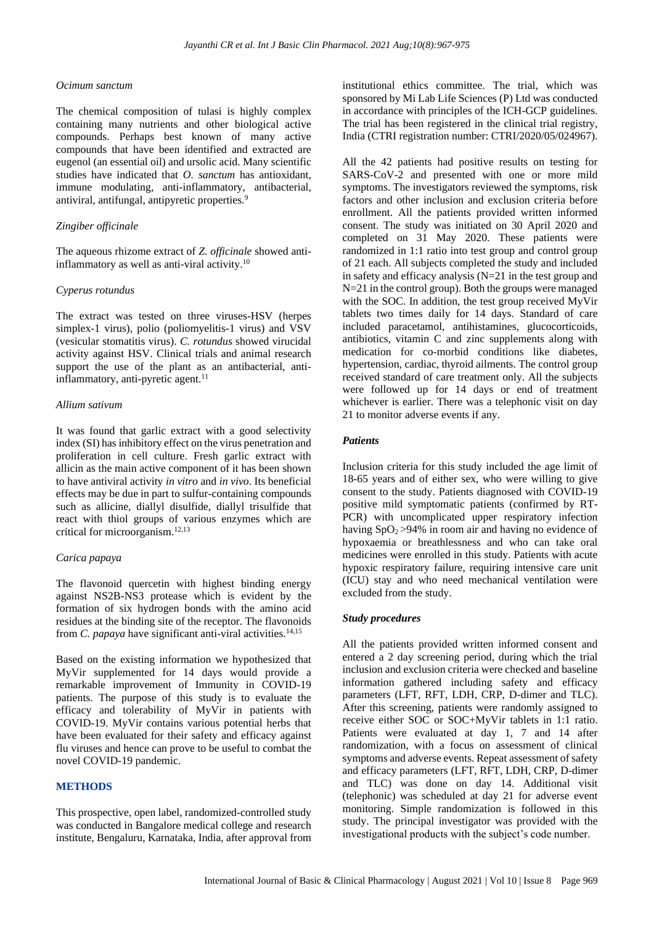#### *Ocimum sanctum*

The chemical composition of tulasi is highly complex containing many nutrients and other biological active compounds. Perhaps best known of many active compounds that have been identified and extracted are eugenol (an essential oil) and ursolic acid. Many scientific studies have indicated that *O. sanctum* has antioxidant, immune modulating, anti-inflammatory, antibacterial, antiviral, antifungal, antipyretic properties.<sup>9</sup>

# *Zingiber officinale*

The aqueous rhizome extract of *Z. officinale* showed antiinflammatory as well as anti-viral activity.<sup>10</sup>

#### *Cyperus rotundus*

The extract was tested on three viruses-HSV (herpes simplex-1 virus), polio (poliomyelitis-1 virus) and VSV (vesicular stomatitis virus). *C. rotundus* showed virucidal activity against HSV. Clinical trials and animal research support the use of the plant as an antibacterial, antiinflammatory, anti-pyretic agent.<sup>11</sup>

# *Allium sativum*

It was found that garlic extract with a good selectivity index (SI) has inhibitory effect on the virus penetration and proliferation in cell culture. Fresh garlic extract with allicin as the main active component of it has been shown to have antiviral activity *in vitro* and *in vivo*. Its beneficial effects may be due in part to sulfur-containing compounds such as allicine, diallyl disulfide, diallyl trisulfide that react with thiol groups of various enzymes which are critical for microorganism.12,13

# *Carica papaya*

The flavonoid quercetin with highest binding energy against NS2B-NS3 protease which is evident by the formation of six hydrogen bonds with the amino acid residues at the binding site of the receptor. The flavonoids from *C. papaya* have significant anti-viral activities.14,15

Based on the existing information we hypothesized that MyVir supplemented for 14 days would provide a remarkable improvement of Immunity in COVID-19 patients. The purpose of this study is to evaluate the efficacy and tolerability of MyVir in patients with COVID-19. MyVir contains various potential herbs that have been evaluated for their safety and efficacy against flu viruses and hence can prove to be useful to combat the novel COVID-19 pandemic.

# **METHODS**

This prospective, open label, randomized-controlled study was conducted in Bangalore medical college and research institute, Bengaluru, Karnataka, India, after approval from institutional ethics committee. The trial, which was sponsored by Mi Lab Life Sciences (P) Ltd was conducted in accordance with principles of the ICH-GCP guidelines. The trial has been registered in the clinical trial registry, India (CTRI registration number: CTRI/2020/05/024967).

All the 42 patients had positive results on testing for SARS-CoV-2 and presented with one or more mild symptoms. The investigators reviewed the symptoms, risk factors and other inclusion and exclusion criteria before enrollment. All the patients provided written informed consent. The study was initiated on 30 April 2020 and completed on 31 May 2020. These patients were randomized in 1:1 ratio into test group and control group of 21 each. All subjects completed the study and included in safety and efficacy analysis (N=21 in the test group and N=21 in the control group). Both the groups were managed with the SOC. In addition, the test group received MyVir tablets two times daily for 14 days. Standard of care included paracetamol, antihistamines, glucocorticoids, antibiotics, vitamin C and zinc supplements along with medication for co-morbid conditions like diabetes, hypertension, cardiac, thyroid ailments. The control group received standard of care treatment only. All the subjects were followed up for 14 days or end of treatment whichever is earlier. There was a telephonic visit on day 21 to monitor adverse events if any.

#### *Patients*

Inclusion criteria for this study included the age limit of 18-65 years and of either sex, who were willing to give consent to the study. Patients diagnosed with COVID-19 positive mild symptomatic patients (confirmed by RT-PCR) with uncomplicated upper respiratory infection having  $SpO<sub>2</sub>>94%$  in room air and having no evidence of hypoxaemia or breathlessness and who can take oral medicines were enrolled in this study. Patients with acute hypoxic respiratory failure, requiring intensive care unit (ICU) stay and who need mechanical ventilation were excluded from the study.

#### *Study procedures*

All the patients provided written informed consent and entered a 2 day screening period, during which the trial inclusion and exclusion criteria were checked and baseline information gathered including safety and efficacy parameters (LFT, RFT, LDH, CRP, D-dimer and TLC). After this screening, patients were randomly assigned to receive either SOC or SOC+MyVir tablets in 1:1 ratio. Patients were evaluated at day 1, 7 and 14 after randomization, with a focus on assessment of clinical symptoms and adverse events. Repeat assessment of safety and efficacy parameters (LFT, RFT, LDH, CRP, D-dimer and TLC) was done on day 14. Additional visit (telephonic) was scheduled at day 21 for adverse event monitoring. Simple randomization is followed in this study. The principal investigator was provided with the investigational products with the subject's code number.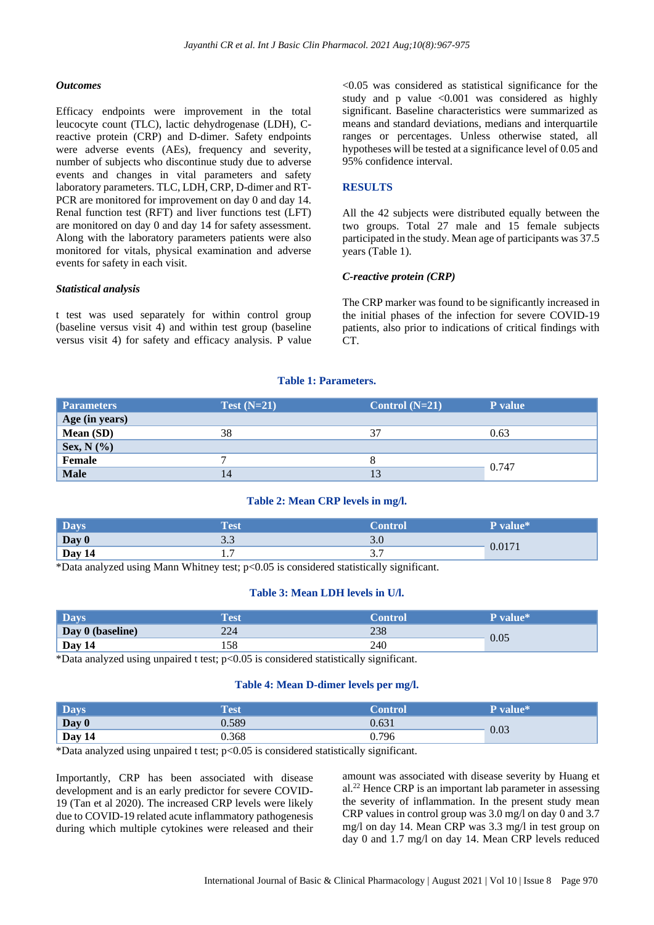#### *Outcomes*

Efficacy endpoints were improvement in the total leucocyte count (TLC), lactic dehydrogenase (LDH), Creactive protein (CRP) and D-dimer. Safety endpoints were adverse events (AEs), frequency and severity, number of subjects who discontinue study due to adverse events and changes in vital parameters and safety laboratory parameters. TLC, LDH, CRP, D-dimer and RT-PCR are monitored for improvement on day 0 and day 14. Renal function test (RFT) and liver functions test (LFT) are monitored on day 0 and day 14 for safety assessment. Along with the laboratory parameters patients were also monitored for vitals, physical examination and adverse events for safety in each visit.

#### *Statistical analysis*

t test was used separately for within control group (baseline versus visit 4) and within test group (baseline versus visit 4) for safety and efficacy analysis. P value <0.05 was considered as statistical significance for the study and p value  $\leq 0.001$  was considered as highly significant. Baseline characteristics were summarized as means and standard deviations, medians and interquartile ranges or percentages. Unless otherwise stated, all hypotheses will be tested at a significance level of 0.05 and 95% confidence interval.

# **RESULTS**

All the 42 subjects were distributed equally between the two groups. Total 27 male and 15 female subjects participated in the study. Mean age of participants was 37.5 years (Table 1).

#### *C-reactive protein (CRP)*

The CRP marker was found to be significantly increased in the initial phases of the infection for severe COVID-19 patients, also prior to indications of critical findings with CT.

#### **Table 1: Parameters.**

| <b>Parameters</b> | Test $(N=21)$ | Control $(N=21)$ | P value |  |  |
|-------------------|---------------|------------------|---------|--|--|
| Age (in years)    |               |                  |         |  |  |
| Mean (SD)         | 38            | 37               | 0.63    |  |  |
| Sex, $N$ (%)      |               |                  |         |  |  |
| Female            |               |                  |         |  |  |
| <b>Male</b>       | 14            |                  | 0.747   |  |  |

#### **Table 2: Mean CRP levels in mg/l.**

| <b>Days</b> | Test | $\blacksquare$     | P value*           |  |
|-------------|------|--------------------|--------------------|--|
| Day 0       | J.J  | J.U                |                    |  |
| Day 14      |      | າ າ<br>$J \cdot I$ | 0.017 <sub>1</sub> |  |

\*Data analyzed using Mann Whitney test; p<0.05 is considered statistically significant.

#### **Table 3: Mean LDH levels in U/l.**

| <b>Days</b>      | Test | ontrol | <b>P</b> value* |  |
|------------------|------|--------|-----------------|--|
| Day 0 (baseline) | 224  | 238    | 0.05            |  |
| Day 14           | 158  | 240    |                 |  |

\*Data analyzed using unpaired t test; p<0.05 is considered statistically significant.

#### **Table 4: Mean D-dimer levels per mg/l.**

| <b>Days</b> | <b>Test</b> | Control | P value* |  |
|-------------|-------------|---------|----------|--|
| Day 0       | 0.589       | 0.631   |          |  |
| Day 14      | 0.368       | 0.796   | 0.03     |  |

\*Data analyzed using unpaired t test; p<0.05 is considered statistically significant.

Importantly, CRP has been associated with disease development and is an early predictor for severe COVID-19 (Tan et al 2020). The increased CRP levels were likely due to COVID-19 related acute inflammatory pathogenesis during which multiple cytokines were released and their amount was associated with disease severity by Huang et al. <sup>22</sup> Hence CRP is an important lab parameter in assessing the severity of inflammation. In the present study mean CRP values in control group was 3.0 mg/l on day 0 and 3.7 mg/l on day 14. Mean CRP was 3.3 mg/l in test group on day 0 and 1.7 mg/l on day 14. Mean CRP levels reduced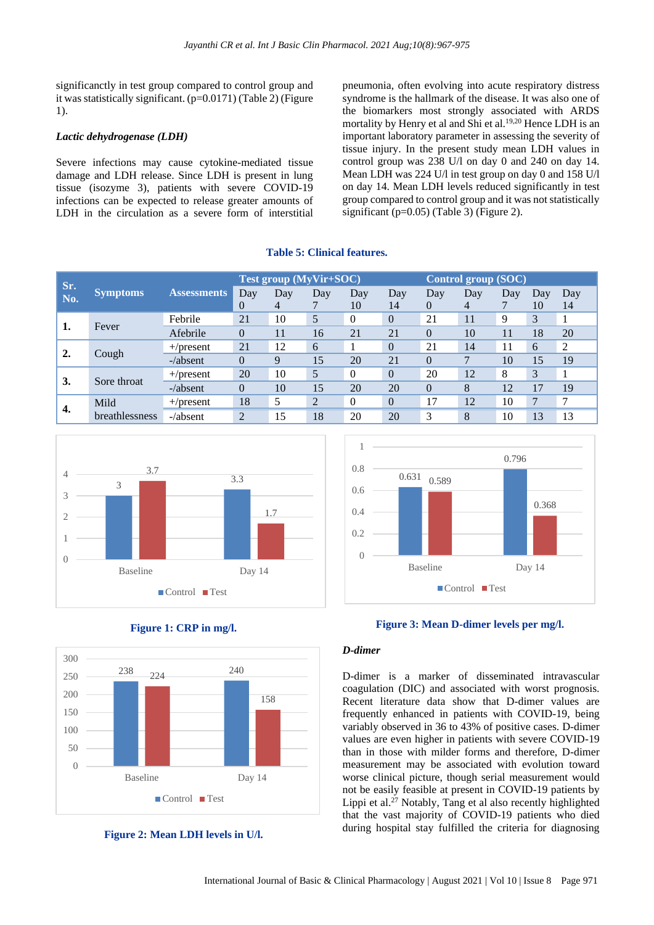significanctly in test group compared to control group and it was statistically significant. (p=0.0171) (Table 2) (Figure 1).

# *Lactic dehydrogenase (LDH)*

Severe infections may cause cytokine-mediated tissue damage and LDH release. Since LDH is present in lung tissue (isozyme 3), patients with severe COVID-19 infections can be expected to release greater amounts of LDH in the circulation as a severe form of interstitial

pneumonia, often evolving into acute respiratory distress syndrome is the hallmark of the disease. It was also one of the biomarkers most strongly associated with ARDS mortality by Henry et al and Shi et al. 19,20 Hence LDH is an important laboratory parameter in assessing the severity of tissue injury. In the present study mean LDH values in control group was 238 U/l on day 0 and 240 on day 14. Mean LDH was 224 U/l in test group on day 0 and 158 U/l on day 14. Mean LDH levels reduced significantly in test group compared to control group and it was not statistically significant (p=0.05) (Table 3) (Figure 2).

# **Table 5: Clinical features.**

| Sr.           |                 |                    | <b>Test group (MyVir+SOC)</b> |          |     |           | Control group (SOC) |                 |              |          |           |           |
|---------------|-----------------|--------------------|-------------------------------|----------|-----|-----------|---------------------|-----------------|--------------|----------|-----------|-----------|
| No.           | <b>Symptoms</b> | <b>Assessments</b> | Day<br>$\Omega$               | Day<br>4 | Day | Day<br>10 | Day<br>14           | Day<br>$\Omega$ | Day<br>4     | Day<br>⇁ | Day<br>10 | Day<br>14 |
|               | Fever           | Febrile            | 21                            | 10       | 5   | $\Omega$  | $\overline{0}$      | 21              | 11           | 9        | 3         | 1         |
| $^{\circ}$ 1. |                 | Afebrile           | $\theta$                      | 11       | 16  | 21        | 21                  | $\theta$        | 10           | 11       | 18        | 20        |
| <sup>2.</sup> | Cough           | $+$ /present       | 21                            | 12       | 6   |           | $\overline{0}$      | 21              | 14           | 11       | 6         | 2         |
|               |                 | $-\/$ absent       | $\theta$                      | 9        | 15  | 20        | 21                  | $\theta$        | $\mathbf{r}$ | 10       | 15        | 19        |
| 3.            | Sore throat     | $+$ /present       | 20                            | 10       | 5   | $\Omega$  | $\Omega$            | 20              | 12           | 8        | 3         |           |
|               |                 | $-\/$ absent       | $\theta$                      | 10       | 15  | 20        | 20                  | $\theta$        | 8            | 12       | 17        | 19        |
| 4.            | Mild            | $+$ /present       | 18                            | 5        | 2   | $\Omega$  | $\overline{0}$      | 17              | 12           | 10       | 7         | 7         |
|               | breathlessness  | $-\/absent$        | 2                             | 15       | 18  | 20        | 20                  | 3               | 8            | 10       | 13        | 13        |





**Figure 1: CRP in mg/l.**

# **Figure 2: Mean LDH levels in U/l.**





#### *D-dimer*

D-dimer is a marker of disseminated intravascular coagulation (DIC) and associated with worst prognosis. Recent literature data show that D-dimer values are frequently enhanced in patients with COVID-19, being variably observed in 36 to 43% of positive cases. D-dimer values are even higher in patients with severe COVID-19 than in those with milder forms and therefore, D-dimer measurement may be associated with evolution toward worse clinical picture, though serial measurement would not be easily feasible at present in COVID-19 patients by Lippi et al. <sup>27</sup> Notably, Tang et al also recently highlighted that the vast majority of COVID-19 patients who died during hospital stay fulfilled the criteria for diagnosing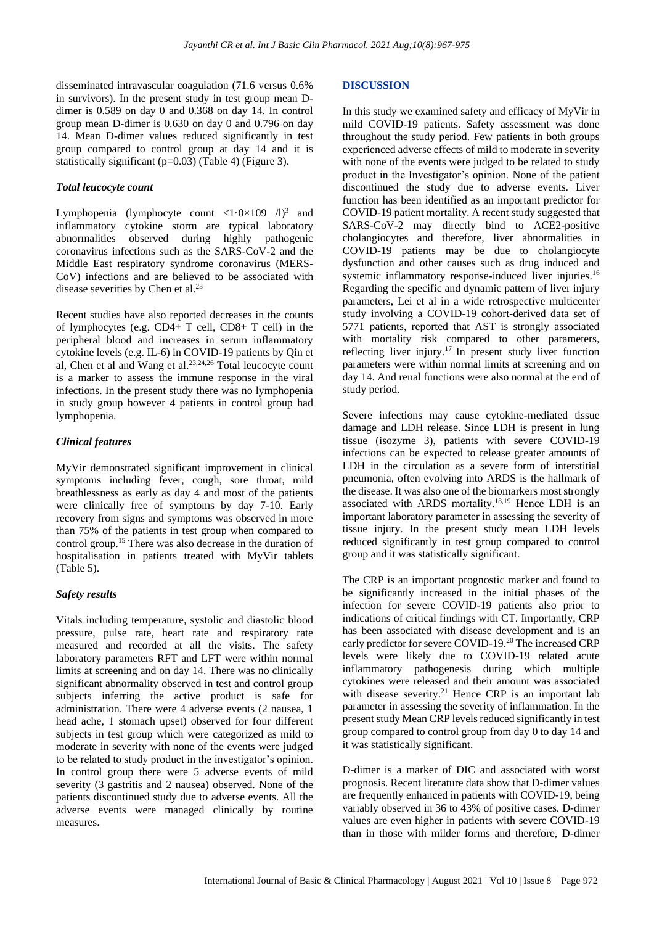disseminated intravascular coagulation (71.6 versus 0.6% in survivors). In the present study in test group mean Ddimer is 0.589 on day 0 and 0.368 on day 14. In control group mean D-dimer is 0.630 on day 0 and 0.796 on day 14. Mean D-dimer values reduced significantly in test group compared to control group at day 14 and it is statistically significant (p=0.03) (Table 4) (Figure 3).

#### *Total leucocyte count*

Lymphopenia (lymphocyte count  $\langle 1 \cdot 0 \times 109 \rangle /1$ )<sup>3</sup> and inflammatory cytokine storm are typical laboratory abnormalities observed during highly pathogenic coronavirus infections such as the SARS-CoV-2 and the Middle East respiratory syndrome coronavirus (MERS-CoV) infections and are believed to be associated with disease severities by Chen et al.<sup>23</sup>

Recent studies have also reported decreases in the counts of lymphocytes (e.g. CD4+ T cell, CD8+ T cell) in the peripheral blood and increases in serum inflammatory cytokine levels (e.g. IL-6) in COVID-19 patients by Qin et al, Chen et al and Wang et al. 23,24,26 Total leucocyte count is a marker to assess the immune response in the viral infections. In the present study there was no lymphopenia in study group however 4 patients in control group had lymphopenia.

# *Clinical features*

MyVir demonstrated significant improvement in clinical symptoms including fever, cough, sore throat, mild breathlessness as early as day 4 and most of the patients were clinically free of symptoms by day 7-10. Early recovery from signs and symptoms was observed in more than 75% of the patients in test group when compared to control group.<sup>15</sup> There was also decrease in the duration of hospitalisation in patients treated with MyVir tablets (Table 5).

# *Safety results*

Vitals including temperature, systolic and diastolic blood pressure, pulse rate, heart rate and respiratory rate measured and recorded at all the visits. The safety laboratory parameters RFT and LFT were within normal limits at screening and on day 14. There was no clinically significant abnormality observed in test and control group subjects inferring the active product is safe for administration. There were 4 adverse events (2 nausea, 1 head ache, 1 stomach upset) observed for four different subjects in test group which were categorized as mild to moderate in severity with none of the events were judged to be related to study product in the investigator's opinion. In control group there were 5 adverse events of mild severity (3 gastritis and 2 nausea) observed. None of the patients discontinued study due to adverse events. All the adverse events were managed clinically by routine measures.

#### **DISCUSSION**

In this study we examined safety and efficacy of MyVir in mild COVID-19 patients. Safety assessment was done throughout the study period. Few patients in both groups experienced adverse effects of mild to moderate in severity with none of the events were judged to be related to study product in the Investigator's opinion. None of the patient discontinued the study due to adverse events. Liver function has been identified as an important predictor for COVID-19 patient mortality. A recent study suggested that SARS-CoV-2 may directly bind to ACE2-positive cholangiocytes and therefore, liver abnormalities in COVID-19 patients may be due to cholangiocyte dysfunction and other causes such as drug induced and systemic inflammatory response-induced liver injuries.<sup>16</sup> Regarding the specific and dynamic pattern of liver injury parameters, Lei et al in a wide retrospective multicenter study involving a COVID-19 cohort-derived data set of 5771 patients, reported that AST is strongly associated with mortality risk compared to other parameters, reflecting liver injury.<sup>17</sup> In present study liver function parameters were within normal limits at screening and on day 14. And renal functions were also normal at the end of study period.

Severe infections may cause cytokine-mediated tissue damage and LDH release. Since LDH is present in lung tissue (isozyme 3), patients with severe COVID-19 infections can be expected to release greater amounts of LDH in the circulation as a severe form of interstitial pneumonia, often evolving into ARDS is the hallmark of the disease. It was also one of the biomarkers most strongly associated with ARDS mortality.18,19 Hence LDH is an important laboratory parameter in assessing the severity of tissue injury. In the present study mean LDH levels reduced significantly in test group compared to control group and it was statistically significant.

The CRP is an important prognostic marker and found to be significantly increased in the initial phases of the infection for severe COVID-19 patients also prior to indications of critical findings with CT. Importantly, CRP has been associated with disease development and is an early predictor for severe COVID-19.<sup>20</sup> The increased CRP levels were likely due to COVID-19 related acute inflammatory pathogenesis during which multiple cytokines were released and their amount was associated with disease severity.<sup>21</sup> Hence CRP is an important lab parameter in assessing the severity of inflammation. In the present study Mean CRP levels reduced significantly in test group compared to control group from day 0 to day 14 and it was statistically significant.

D-dimer is a marker of DIC and associated with worst prognosis. Recent literature data show that D-dimer values are frequently enhanced in patients with COVID-19, being variably observed in 36 to 43% of positive cases. D-dimer values are even higher in patients with severe COVID-19 than in those with milder forms and therefore, D-dimer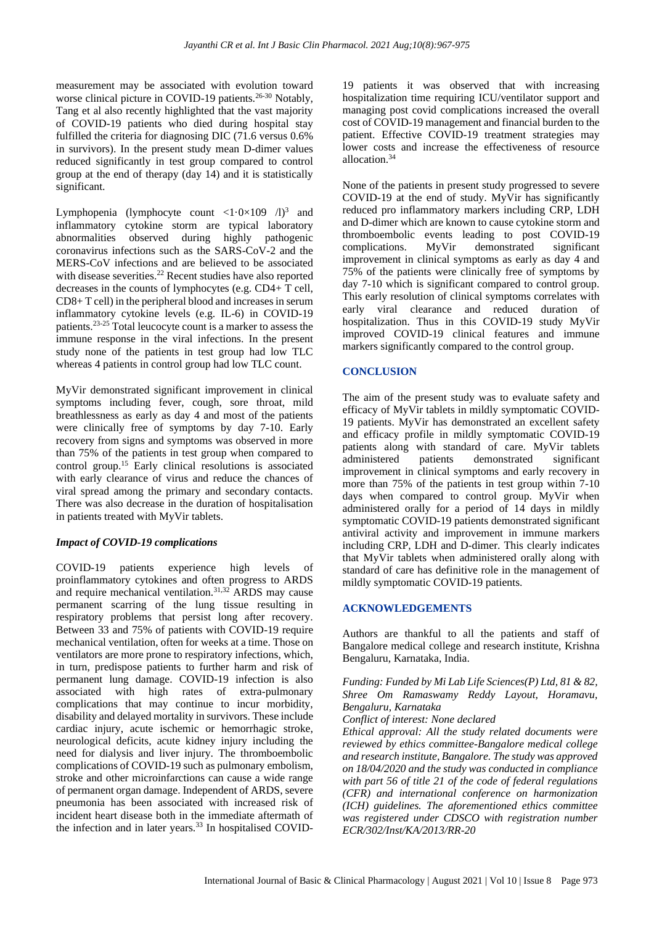measurement may be associated with evolution toward worse clinical picture in COVID-19 patients.<sup>26-30</sup> Notably, Tang et al also recently highlighted that the vast majority of COVID-19 patients who died during hospital stay fulfilled the criteria for diagnosing DIC (71.6 versus 0.6% in survivors). In the present study mean D-dimer values reduced significantly in test group compared to control group at the end of therapy (day 14) and it is statistically significant.

Lymphopenia (lymphocyte count  $\langle 1 \cdot 0 \times 109 \rangle /1$ )<sup>3</sup> and inflammatory cytokine storm are typical laboratory abnormalities observed during highly pathogenic coronavirus infections such as the SARS-CoV-2 and the MERS-CoV infections and are believed to be associated with disease severities.<sup>22</sup> Recent studies have also reported decreases in the counts of lymphocytes (e.g. CD4+ T cell, CD8+ T cell) in the peripheral blood and increases in serum inflammatory cytokine levels (e.g. IL-6) in COVID-19 patients.23-25 Total leucocyte count is a marker to assess the immune response in the viral infections. In the present study none of the patients in test group had low TLC whereas 4 patients in control group had low TLC count.

MyVir demonstrated significant improvement in clinical symptoms including fever, cough, sore throat, mild breathlessness as early as day 4 and most of the patients were clinically free of symptoms by day 7-10. Early recovery from signs and symptoms was observed in more than 75% of the patients in test group when compared to control group.<sup>15</sup> Early clinical resolutions is associated with early clearance of virus and reduce the chances of viral spread among the primary and secondary contacts. There was also decrease in the duration of hospitalisation in patients treated with MyVir tablets.

#### *Impact of COVID-19 complications*

COVID-19 patients experience high levels of proinflammatory cytokines and often progress to ARDS and require mechanical ventilation.<sup>31,32</sup> ARDS may cause permanent scarring of the lung tissue resulting in respiratory problems that persist long after recovery. Between 33 and 75% of patients with COVID-19 require mechanical ventilation, often for weeks at a time. Those on ventilators are more prone to respiratory infections, which, in turn, predispose patients to further harm and risk of permanent lung damage. COVID-19 infection is also associated with high rates of extra-pulmonary complications that may continue to incur morbidity, disability and delayed mortality in survivors. These include cardiac injury, acute ischemic or hemorrhagic stroke, neurological deficits, acute kidney injury including the need for dialysis and liver injury. The thromboembolic complications of COVID-19 such as pulmonary embolism, stroke and other microinfarctions can cause a wide range of permanent organ damage. Independent of ARDS, severe pneumonia has been associated with increased risk of incident heart disease both in the immediate aftermath of the infection and in later years.<sup>33</sup> In hospitalised COVID-

19 patients it was observed that with increasing hospitalization time requiring ICU/ventilator support and managing post covid complications increased the overall cost of COVID-19 management and financial burden to the patient. Effective COVID-19 treatment strategies may lower costs and increase the effectiveness of resource allocation.<sup>34</sup>

None of the patients in present study progressed to severe COVID-19 at the end of study. MyVir has significantly reduced pro inflammatory markers including CRP, LDH and D-dimer which are known to cause cytokine storm and thromboembolic events leading to post COVID-19 complications. MyVir demonstrated significant improvement in clinical symptoms as early as day 4 and 75% of the patients were clinically free of symptoms by day 7-10 which is significant compared to control group. This early resolution of clinical symptoms correlates with early viral clearance and reduced duration of hospitalization. Thus in this COVID-19 study MyVir improved COVID-19 clinical features and immune markers significantly compared to the control group.

#### **CONCLUSION**

The aim of the present study was to evaluate safety and efficacy of MyVir tablets in mildly symptomatic COVID-19 patients. MyVir has demonstrated an excellent safety and efficacy profile in mildly symptomatic COVID-19 patients along with standard of care. MyVir tablets administered patients demonstrated significant improvement in clinical symptoms and early recovery in more than 75% of the patients in test group within 7-10 days when compared to control group. MyVir when administered orally for a period of 14 days in mildly symptomatic COVID-19 patients demonstrated significant antiviral activity and improvement in immune markers including CRP, LDH and D-dimer. This clearly indicates that MyVir tablets when administered orally along with standard of care has definitive role in the management of mildly symptomatic COVID-19 patients.

# **ACKNOWLEDGEMENTS**

Authors are thankful to all the patients and staff of Bangalore medical college and research institute, Krishna Bengaluru, Karnataka, India.

*Funding: Funded by Mi Lab Life Sciences(P) Ltd, 81 & 82, Shree Om Ramaswamy Reddy Layout, Horamavu, Bengaluru, Karnataka*

*Conflict of interest: None declared*

*Ethical approval: All the study related documents were reviewed by ethics committee-Bangalore medical college and research institute, Bangalore. The study was approved on 18/04/2020 and the study was conducted in compliance with part 56 of title 21 of the code of federal regulations (CFR) and international conference on harmonization (ICH) guidelines. The aforementioned ethics committee was registered under CDSCO with registration number ECR/302/Inst/KA/2013/RR-20*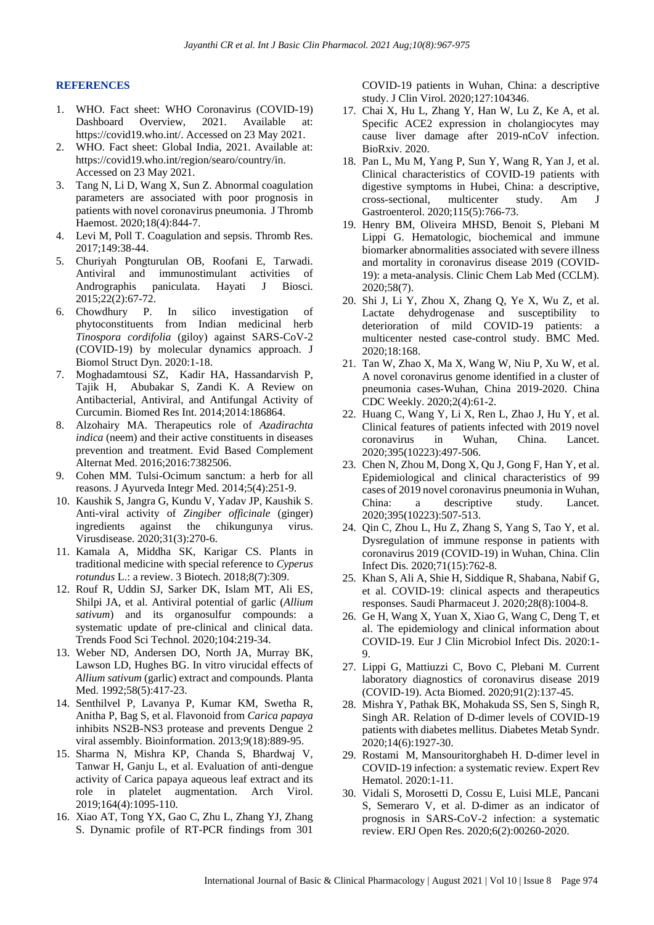#### **REFERENCES**

- 1. WHO. Fact sheet: WHO Coronavirus (COVID-19) Dashboard Overview, 2021. Available at: https://covid19.who.int/. Accessed on 23 May 2021.
- 2. WHO. Fact sheet: Global India, 2021. Available at: https://covid19.who.int/region/searo/country/in. Accessed on 23 May 2021.
- 3. Tang N, Li D, Wang X, Sun Z. Abnormal coagulation parameters are associated with poor prognosis in patients with novel coronavirus pneumonia. J Thromb Haemost. 2020;18(4):844-7.
- 4. Levi M, Poll T. Coagulation and sepsis. Thromb Res. 2017;149:38-44.
- 5. Churiyah Pongturulan OB, Roofani E, Tarwadi. Antiviral and immunostimulant activities of Andrographis paniculata. Hayati J Biosci. 2015;22(2):67-72.
- 6. Chowdhury P. In silico investigation of phytoconstituents from Indian medicinal herb *Tinospora cordifolia* (giloy) against SARS-CoV-2 (COVID-19) by molecular dynamics approach. J Biomol Struct Dyn. 2020:1-18.
- 7. Moghadamtousi SZ, Kadir HA, Hassandarvish P, Tajik H, Abubakar S, Zandi K. A Review on Antibacterial, Antiviral, and Antifungal Activity of Curcumin. Biomed Res Int. 2014;2014:186864.
- 8. Alzohairy MA. Therapeutics role of *Azadirachta indica* (neem) and their active constituents in diseases prevention and treatment. Evid Based Complement Alternat Med. 2016;2016:7382506.
- 9. Cohen MM. Tulsi-Ocimum sanctum: a herb for all reasons. J Ayurveda Integr Med. 2014;5(4):251-9.
- 10. Kaushik S, Jangra G, Kundu V, Yadav JP, Kaushik S. Anti-viral activity of *Zingiber officinale* (ginger) ingredients against the chikungunya virus. Virusdisease. 2020;31(3):270-6.
- 11. Kamala A, Middha SK, Karigar CS. Plants in traditional medicine with special reference to *Cyperus rotundus* L.: a review. 3 Biotech. 2018;8(7):309.
- 12. Rouf R, Uddin SJ, Sarker DK, Islam MT, Ali ES, Shilpi JA, et al. Antiviral potential of garlic (*Allium sativum*) and its organosulfur compounds: a systematic update of pre-clinical and clinical data. Trends Food Sci Technol. 2020;104:219-34.
- 13. Weber ND, Andersen DO, North JA, Murray BK, Lawson LD, Hughes BG. In vitro virucidal effects of *Allium sativum* (garlic) extract and compounds. Planta Med. 1992;58(5):417-23.
- 14. Senthilvel P, Lavanya P, Kumar KM, Swetha R, Anitha P, Bag S, et al. Flavonoid from *Carica papaya* inhibits NS2B-NS3 protease and prevents Dengue 2 viral assembly. Bioinformation. 2013;9(18):889-95.
- 15. Sharma N, Mishra KP, Chanda S, Bhardwaj V, Tanwar H, Ganju L, et al. Evaluation of anti-dengue activity of Carica papaya aqueous leaf extract and its role in platelet augmentation. Arch Virol. 2019;164(4):1095-110.
- 16. Xiao AT, Tong YX, Gao C, Zhu L, Zhang YJ, Zhang S. Dynamic profile of RT-PCR findings from 301

COVID-19 patients in Wuhan, China: a descriptive study. J Clin Virol. 2020;127:104346.

- 17. Chai X, Hu L, Zhang Y, Han W, Lu Z, Ke A, et al. Specific ACE2 expression in cholangiocytes may cause liver damage after 2019-nCoV infection. BioRxiv. 2020.
- 18. Pan L, Mu M, Yang P, Sun Y, Wang R, Yan J, et al. Clinical characteristics of COVID-19 patients with digestive symptoms in Hubei, China: a descriptive, cross-sectional, multicenter study. Am J Gastroenterol. 2020;115(5):766-73.
- 19. Henry BM, Oliveira MHSD, Benoit S, Plebani M Lippi G. Hematologic, biochemical and immune biomarker abnormalities associated with severe illness and mortality in coronavirus disease 2019 (COVID-19): a meta-analysis. Clinic Chem Lab Med (CCLM). 2020;58(7).
- 20. Shi J, Li Y, Zhou X, Zhang Q, Ye X, Wu Z, et al. Lactate dehydrogenase and susceptibility to deterioration of mild COVID-19 patients: a multicenter nested case-control study. BMC Med. 2020;18:168.
- 21. Tan W, Zhao X, Ma X, Wang W, Niu P, Xu W, et al. A novel coronavirus genome identified in a cluster of pneumonia cases-Wuhan, China 2019-2020. China CDC Weekly. 2020;2(4):61-2.
- 22. Huang C, Wang Y, Li X, Ren L, Zhao J, Hu Y, et al. Clinical features of patients infected with 2019 novel coronavirus in Wuhan, China. Lancet. 2020;395(10223):497-506.
- 23. Chen N, Zhou M, Dong X, Qu J, Gong F, Han Y, et al. Epidemiological and clinical characteristics of 99 cases of 2019 novel coronavirus pneumonia in Wuhan, China: a descriptive study. Lancet. 2020;395(10223):507-513.
- 24. Qin C, Zhou L, Hu Z, Zhang S, Yang S, Tao Y, et al. Dysregulation of immune response in patients with coronavirus 2019 (COVID-19) in Wuhan, China. Clin Infect Dis. 2020;71(15):762-8.
- 25. Khan S, Ali A, Shie H, Siddique R, Shabana, Nabif G, et al. COVID-19: clinical aspects and therapeutics responses. Saudi Pharmaceut J. 2020;28(8):1004-8.
- 26. Ge H, Wang X, Yuan X, Xiao G, Wang C, Deng T, et al. The epidemiology and clinical information about COVID-19. Eur J Clin Microbiol Infect Dis. 2020:1- 9.
- 27. Lippi G, Mattiuzzi C, Bovo C, Plebani M. Current laboratory diagnostics of coronavirus disease 2019 (COVID-19). Acta Biomed. 2020;91(2):137-45.
- 28. Mishra Y, Pathak BK, Mohakuda SS, Sen S, Singh R, Singh AR. Relation of D-dimer levels of COVID-19 patients with diabetes mellitus. Diabetes Metab Syndr. 2020;14(6):1927-30.
- 29. Rostami M, Mansouritorghabeh H. D-dimer level in COVID-19 infection: a systematic review. Expert Rev Hematol. 2020:1-11.
- 30. Vidali S, Morosetti D, Cossu E, Luisi MLE, Pancani S, Semeraro V, et al. D-dimer as an indicator of prognosis in SARS-CoV-2 infection: a systematic review. ERJ Open Res. 2020;6(2):00260-2020.